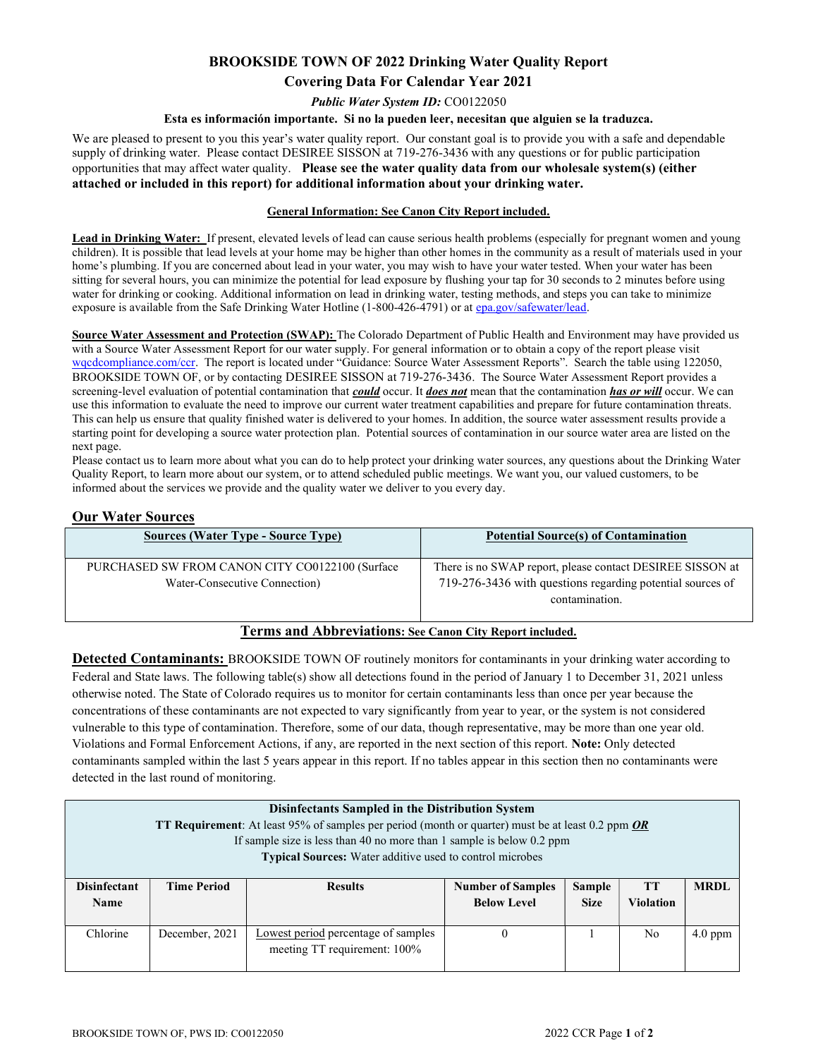# BROOKSIDE TOWN OF 2022 Drinking Water Quality Report Covering Data For Calendar Year 2021

Public Water System ID: CO0122050

#### Esta es información importante. Si no la pueden leer, necesitan que alguien se la traduzca.

We are pleased to present to you this year's water quality report. Our constant goal is to provide you with a safe and dependable supply of drinking water. Please contact DESIREE SISSON at 719-276-3436 with any questions or for public participation opportunities that may affect water quality. Please see the water quality data from our wholesale system(s) (either attached or included in this report) for additional information about your drinking water.

### General Information: See Canon City Report included.

Lead in Drinking Water: If present, elevated levels of lead can cause serious health problems (especially for pregnant women and young children). It is possible that lead levels at your home may be higher than other homes in the community as a result of materials used in your home's plumbing. If you are concerned about lead in your water, you may wish to have your water tested. When your water has been sitting for several hours, you can minimize the potential for lead exposure by flushing your tap for 30 seconds to 2 minutes before using water for drinking or cooking. Additional information on lead in drinking water, testing methods, and steps you can take to minimize exposure is available from the Safe Drinking Water Hotline (1-800-426-4791) or at epa.gov/safewater/lead.

Source Water Assessment and Protection (SWAP): The Colorado Department of Public Health and Environment may have provided us with a Source Water Assessment Report for our water supply. For general information or to obtain a copy of the report please visit wqcdcompliance.com/ccr. The report is located under "Guidance: Source Water Assessment Reports". Search the table using 122050, BROOKSIDE TOWN OF, or by contacting DESIREE SISSON at 719-276-3436. The Source Water Assessment Report provides a screening-level evaluation of potential contamination that could occur. It does not mean that the contamination has or will occur. We can use this information to evaluate the need to improve our current water treatment capabilities and prepare for future contamination threats. This can help us ensure that quality finished water is delivered to your homes. In addition, the source water assessment results provide a starting point for developing a source water protection plan. Potential sources of contamination in our source water area are listed on the next page.

Please contact us to learn more about what you can do to help protect your drinking water sources, any questions about the Drinking Water Quality Report, to learn more about our system, or to attend scheduled public meetings. We want you, our valued customers, to be informed about the services we provide and the quality water we deliver to you every day.

### Our Water Sources

| <b>Sources (Water Type - Source Type)</b>                                        | <b>Potential Source(s) of Contamination</b>                                                                                               |
|----------------------------------------------------------------------------------|-------------------------------------------------------------------------------------------------------------------------------------------|
| PURCHASED SW FROM CANON CITY CO0122100 (Surface<br>Water-Consecutive Connection) | There is no SWAP report, please contact DESIREE SISSON at<br>719-276-3436 with questions regarding potential sources of<br>contamination. |
|                                                                                  |                                                                                                                                           |

## Terms and Abbreviations: See Canon City Report included.

Detected Contaminants: BROOKSIDE TOWN OF routinely monitors for contaminants in your drinking water according to Federal and State laws. The following table(s) show all detections found in the period of January 1 to December 31, 2021 unless otherwise noted. The State of Colorado requires us to monitor for certain contaminants less than once per year because the concentrations of these contaminants are not expected to vary significantly from year to year, or the system is not considered vulnerable to this type of contamination. Therefore, some of our data, though representative, may be more than one year old. Violations and Formal Enforcement Actions, if any, are reported in the next section of this report. Note: Only detected contaminants sampled within the last 5 years appear in this report. If no tables appear in this section then no contaminants were detected in the last round of monitoring.

| <b>Disinfectants Sampled in the Distribution System</b><br>TT Requirement: At least 95% of samples per period (month or quarter) must be at least 0.2 ppm OR<br>If sample size is less than 40 no more than 1 sample is below $0.2$ ppm |                                                                 |                                                                     |                                                |                       |                               |             |  |
|-----------------------------------------------------------------------------------------------------------------------------------------------------------------------------------------------------------------------------------------|-----------------------------------------------------------------|---------------------------------------------------------------------|------------------------------------------------|-----------------------|-------------------------------|-------------|--|
|                                                                                                                                                                                                                                         | <b>Typical Sources:</b> Water additive used to control microbes |                                                                     |                                                |                       |                               |             |  |
| <b>Disinfectant</b><br><b>Name</b>                                                                                                                                                                                                      | <b>Time Period</b>                                              | <b>Results</b>                                                      | <b>Number of Samples</b><br><b>Below Level</b> | Sample<br><b>Size</b> | <b>TT</b><br><b>Violation</b> | <b>MRDL</b> |  |
| Chlorine                                                                                                                                                                                                                                | December, 2021                                                  | Lowest period percentage of samples<br>meeting TT requirement: 100% | $\theta$                                       |                       | No.                           | $4.0$ ppm   |  |